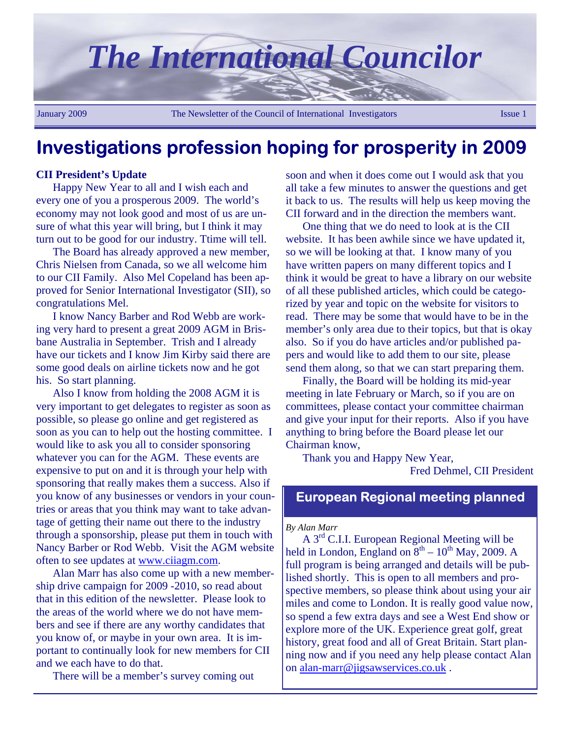

## **Investigations profession hoping for prosperity in 2009**

#### **CII President's Update**

Happy New Year to all and I wish each and every one of you a prosperous 2009. The world's economy may not look good and most of us are unsure of what this year will bring, but I think it may turn out to be good for our industry. Ttime will tell.

The Board has already approved a new member, Chris Nielsen from Canada, so we all welcome him to our CII Family. Also Mel Copeland has been approved for Senior International Investigator (SII), so congratulations Mel.

I know Nancy Barber and Rod Webb are working very hard to present a great 2009 AGM in Brisbane Australia in September. Trish and I already have our tickets and I know Jim Kirby said there are some good deals on airline tickets now and he got his. So start planning.

Also I know from holding the 2008 AGM it is very important to get delegates to register as soon as possible, so please go online and get registered as soon as you can to help out the hosting committee. I would like to ask you all to consider sponsoring whatever you can for the AGM. These events are expensive to put on and it is through your help with sponsoring that really makes them a success. Also if you know of any businesses or vendors in your countries or areas that you think may want to take advantage of getting their name out there to the industry through a sponsorship, please put them in touch with Nancy Barber or Rod Webb. Visit the AGM website often to see updates at www.ciiagm.com.

Alan Marr has also come up with a new membership drive campaign for 2009 -2010, so read about that in this edition of the newsletter. Please look to the areas of the world where we do not have members and see if there are any worthy candidates that you know of, or maybe in your own area. It is important to continually look for new members for CII and we each have to do that.

There will be a member's survey coming out

soon and when it does come out I would ask that you all take a few minutes to answer the questions and get it back to us. The results will help us keep moving the CII forward and in the direction the members want.

One thing that we do need to look at is the CII website. It has been awhile since we have updated it, so we will be looking at that. I know many of you have written papers on many different topics and I think it would be great to have a library on our website of all these published articles, which could be categorized by year and topic on the website for visitors to read. There may be some that would have to be in the member's only area due to their topics, but that is okay also. So if you do have articles and/or published papers and would like to add them to our site, please send them along, so that we can start preparing them.

Finally, the Board will be holding its mid-year meeting in late February or March, so if you are on committees, please contact your committee chairman and give your input for their reports. Also if you have anything to bring before the Board please let our Chairman know,

Thank you and Happy New Year,

Fred Dehmel, CII President

### **European Regional meeting planned**

#### *By Alan Marr*

A 3rd C.I.I. European Regional Meeting will be held in London, England on  $8<sup>th</sup> - 10<sup>th</sup>$  May, 2009. A full program is being arranged and details will be published shortly. This is open to all members and prospective members, so please think about using your air miles and come to London. It is really good value now, so spend a few extra days and see a West End show or explore more of the UK. Experience great golf, great history, great food and all of Great Britain. Start planning now and if you need any help please contact Alan on alan-marr@jigsawservices.co.uk .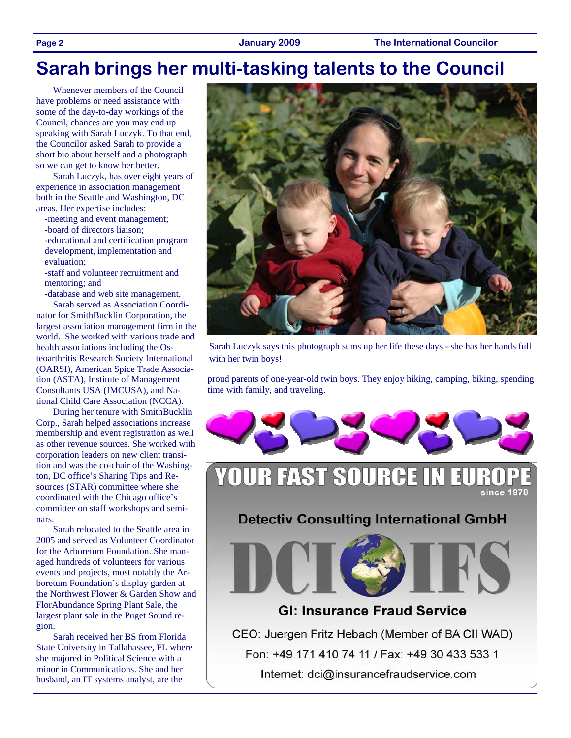## **Sarah brings her multi-tasking talents to the Council**

Whenever members of the Council have problems or need assistance with some of the day-to-day workings of the Council, chances are you may end up speaking with Sarah Luczyk. To that end, the Councilor asked Sarah to provide a short bio about herself and a photograph so we can get to know her better.

Sarah Luczyk, has over eight years of experience in association management both in the Seattle and Washington, DC areas. Her expertise includes:

- -meeting and event management;
- -board of directors liaison;
- -educational and certification program development, implementation and evaluation;
- -staff and volunteer recruitment and mentoring; and

-database and web site management.

Sarah served as Association Coordinator for SmithBucklin Corporation, the largest association management firm in the world. She worked with various trade and health associations including the Osteoarthritis Research Society International (OARSI), American Spice Trade Association (ASTA), Institute of Management Consultants USA (IMCUSA), and National Child Care Association (NCCA).

During her tenure with SmithBucklin Corp., Sarah helped associations increase membership and event registration as well as other revenue sources. She worked with corporation leaders on new client transition and was the co-chair of the Washington, DC office's Sharing Tips and Resources (STAR) committee where she coordinated with the Chicago office's committee on staff workshops and seminars.

Sarah relocated to the Seattle area in 2005 and served as Volunteer Coordinator for the Arboretum Foundation. She managed hundreds of volunteers for various events and projects, most notably the Arboretum Foundation's display garden at the Northwest Flower & Garden Show and FlorAbundance Spring Plant Sale, the largest plant sale in the Puget Sound region.

Sarah received her BS from Florida State University in Tallahassee, FL where she majored in Political Science with a minor in Communications. She and her husband, an IT systems analyst, are the



Sarah Luczyk says this photograph sums up her life these days - she has her hands full with her twin boys!

proud parents of one-year-old twin boys. They enjoy hiking, camping, biking, spending time with family, and traveling.



### **YOUR FAST SOURCE IN EU** since 1978

**Detectiv Consulting International GmbH** 



### **GI: Insurance Fraud Service**

CEO: Juergen Fritz Hebach (Member of BA CII WAD) Fon: +49 171 410 74 11 / Fax: +49 30 433 533 1 Internet: dci@insurancefraudservice.com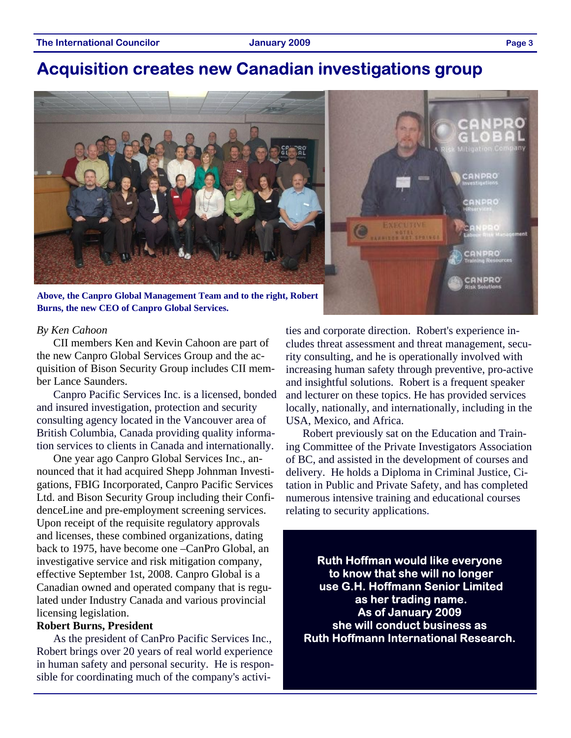## **Acquisition creates new Canadian investigations group**



**Above, the Canpro Global Management Team and to the right, Robert Burns, the new CEO of Canpro Global Services.** 

#### *By Ken Cahoon*

CII members Ken and Kevin Cahoon are part of the new Canpro Global Services Group and the acquisition of Bison Security Group includes CII member Lance Saunders.

Canpro Pacific Services Inc. is a licensed, bonded and insured investigation, protection and security consulting agency located in the Vancouver area of British Columbia, Canada providing quality information services to clients in Canada and internationally.

One year ago Canpro Global Services Inc., announced that it had acquired Shepp Johnman Investigations, FBIG Incorporated, Canpro Pacific Services Ltd. and Bison Security Group including their ConfidenceLine and pre-employment screening services. Upon receipt of the requisite regulatory approvals and licenses, these combined organizations, dating back to 1975, have become one –CanPro Global, an investigative service and risk mitigation company, effective September 1st, 2008. Canpro Global is a Canadian owned and operated company that is regulated under Industry Canada and various provincial licensing legislation.

#### **Robert Burns, President**

As the president of CanPro Pacific Services Inc., Robert brings over 20 years of real world experience in human safety and personal security. He is responsible for coordinating much of the company's activities and corporate direction. Robert's experience includes threat assessment and threat management, security consulting, and he is operationally involved with increasing human safety through preventive, pro-active and insightful solutions. Robert is a frequent speaker and lecturer on these topics. He has provided services locally, nationally, and internationally, including in the USA, Mexico, and Africa.

Robert previously sat on the Education and Training Committee of the Private Investigators Association of BC, and assisted in the development of courses and delivery. He holds a Diploma in Criminal Justice, Citation in Public and Private Safety, and has completed numerous intensive training and educational courses relating to security applications.

**Ruth Hoffman would like everyone to know that she will no longer use G.H. Hoffmann Senior Limited as her trading name. As of January 2009 she will conduct business as Ruth Hoffmann International Research.**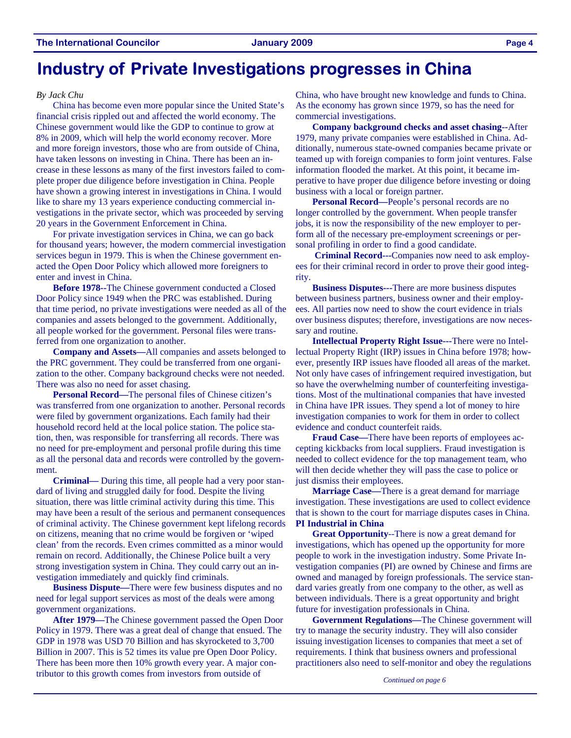## **Industry of Private Investigations progresses in China**

#### *By Jack Chu*

China has become even more popular since the United State's financial crisis rippled out and affected the world economy. The Chinese government would like the GDP to continue to grow at 8% in 2009, which will help the world economy recover. More and more foreign investors, those who are from outside of China, have taken lessons on investing in China. There has been an increase in these lessons as many of the first investors failed to complete proper due diligence before investigation in China. People have shown a growing interest in investigations in China. I would like to share my 13 years experience conducting commercial investigations in the private sector, which was proceeded by serving 20 years in the Government Enforcement in China.

For private investigation services in China, we can go back for thousand years; however, the modern commercial investigation services begun in 1979. This is when the Chinese government enacted the Open Door Policy which allowed more foreigners to enter and invest in China.

**Before 1978--**The Chinese government conducted a Closed Door Policy since 1949 when the PRC was established. During that time period, no private investigations were needed as all of the companies and assets belonged to the government. Additionally, all people worked for the government. Personal files were transferred from one organization to another.

**Company and Assets—**All companies and assets belonged to the PRC government. They could be transferred from one organization to the other. Company background checks were not needed. There was also no need for asset chasing.

**Personal Record—**The personal files of Chinese citizen's was transferred from one organization to another. Personal records were filed by government organizations. Each family had their household record held at the local police station. The police station, then, was responsible for transferring all records. There was no need for pre-employment and personal profile during this time as all the personal data and records were controlled by the government.

**Criminal—** During this time, all people had a very poor standard of living and struggled daily for food. Despite the living situation, there was little criminal activity during this time. This may have been a result of the serious and permanent consequences of criminal activity. The Chinese government kept lifelong records on citizens, meaning that no crime would be forgiven or 'wiped clean' from the records. Even crimes committed as a minor would remain on record. Additionally, the Chinese Police built a very strong investigation system in China. They could carry out an investigation immediately and quickly find criminals.

**Business Dispute—**There were few business disputes and no need for legal support services as most of the deals were among government organizations.

**After 1979—**The Chinese government passed the Open Door Policy in 1979. There was a great deal of change that ensued. The GDP in 1978 was USD 70 Billion and has skyrocketed to 3,700 Billion in 2007. This is 52 times its value pre Open Door Policy. There has been more then 10% growth every year. A major contributor to this growth comes from investors from outside of

China, who have brought new knowledge and funds to China. As the economy has grown since 1979, so has the need for commercial investigations.

**Company background checks and asset chasing--**After 1979, many private companies were established in China. Additionally, numerous state-owned companies became private or teamed up with foreign companies to form joint ventures. False information flooded the market. At this point, it became imperative to have proper due diligence before investing or doing business with a local or foreign partner.

**Personal Record—**People's personal records are no longer controlled by the government. When people transfer jobs, it is now the responsibility of the new employer to perform all of the necessary pre-employment screenings or personal profiling in order to find a good candidate.

 **Criminal Record---**Companies now need to ask employees for their criminal record in order to prove their good integrity.

**Business Disputes---**There are more business disputes between business partners, business owner and their employees. All parties now need to show the court evidence in trials over business disputes; therefore, investigations are now necessary and routine.

**Intellectual Property Right Issue---**There were no Intellectual Property Right (IRP) issues in China before 1978; however, presently IRP issues have flooded all areas of the market. Not only have cases of infringement required investigation, but so have the overwhelming number of counterfeiting investigations. Most of the multinational companies that have invested in China have IPR issues. They spend a lot of money to hire investigation companies to work for them in order to collect evidence and conduct counterfeit raids.

**Fraud Case—**There have been reports of employees accepting kickbacks from local suppliers. Fraud investigation is needed to collect evidence for the top management team, who will then decide whether they will pass the case to police or just dismiss their employees.

**Marriage Case—**There is a great demand for marriage investigation. These investigations are used to collect evidence that is shown to the court for marriage disputes cases in China. **PI Industrial in China** 

**Great Opportunity**--There is now a great demand for investigations, which has opened up the opportunity for more people to work in the investigation industry. Some Private Investigation companies (PI) are owned by Chinese and firms are owned and managed by foreign professionals. The service standard varies greatly from one company to the other, as well as between individuals. There is a great opportunity and bright future for investigation professionals in China.

**Government Regulations—**The Chinese government will try to manage the security industry. They will also consider issuing investigation licenses to companies that meet a set of requirements. I think that business owners and professional practitioners also need to self-monitor and obey the regulations

*Continued on page 6*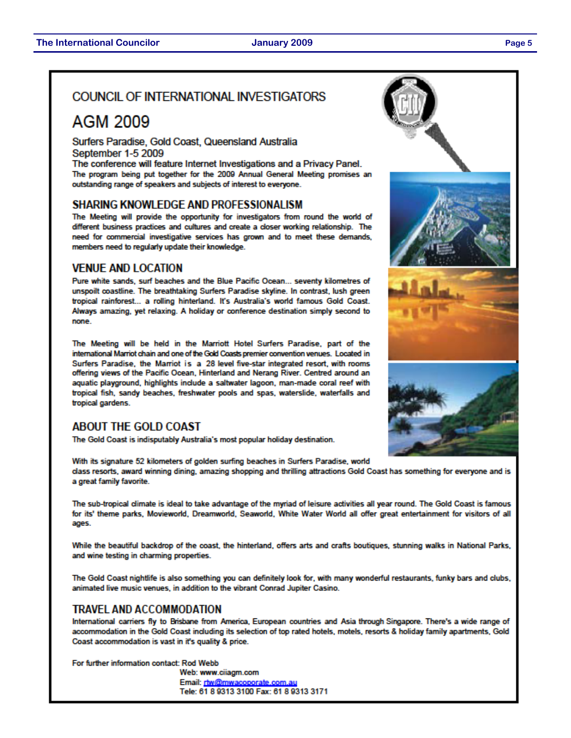#### COUNCIL OF INTERNATIONAL INVESTIGATORS

## AGM 2009

Surfers Paradise, Gold Coast, Queensland Australia September 1-5 2009

The conference will feature Internet Investigations and a Privacy Panel. The program being put together for the 2009 Annual General Meeting promises an outstanding range of speakers and subjects of interest to everyone.

#### **SHARING KNOWLEDGE AND PROFESSIONALISM**

The Meeting will provide the opportunity for investigators from round the world of different business practices and cultures and create a closer working relationship. The need for commercial investigative services has grown and to meet these demands, members need to regularly update their knowledge.

#### **VENUE AND LOCATION**

Pure white sands, surf beaches and the Blue Pacific Ocean... seventy kilometres of unspoilt coastline. The breathtaking Surfers Paradise skyline. In contrast, lush green tropical rainforest... a rolling hinterland. It's Australia's world famous Gold Coast. Always amazing, yet relaxing. A holiday or conference destination simply second to none.

The Meeting will be held in the Marriott Hotel Surfers Paradise, part of the international Marriot chain and one of the Gold Coasts premier convention venues. Located in Surfers Paradise, the Marriot is a 28 level five-star integrated resort, with rooms offering views of the Pacific Ocean, Hinterland and Nerang River. Centred around an aquatic playground, highlights include a saltwater lagoon, man-made coral reef with tropical fish, sandy beaches, freshwater pools and spas, waterslide, waterfalls and tropical gardens.

#### **ABOUT THE GOLD COAST**

The Gold Coast is indisputably Australia's most popular holiday destination.

With its signature 52 kilometers of golden surfing beaches in Surfers Paradise, world class resorts, award winning dining, amazing shopping and thrilling attractions Gold Coast has something for everyone and is a great family favorite.

The sub-tropical climate is ideal to take advantage of the myriad of leisure activities all year round. The Gold Coast is famous for its' theme parks, Movieworld, Dreamworld, Seaworld, White Water World all offer great entertainment for visitors of all ages.

While the beautiful backdrop of the coast, the hinterland, offers arts and crafts boutiques, stunning walks in National Parks, and wine testing in charming properties.

The Gold Coast nightlife is also something you can definitely look for, with many wonderful restaurants, funky bars and clubs, animated live music venues, in addition to the vibrant Conrad Jupiter Casino.

#### **TRAVEL AND ACCOMMODATION**

International carriers fly to Brisbane from America, European countries and Asia through Singapore. There's a wide range of accommodation in the Gold Coast including its selection of top rated hotels, motels, resorts & holiday family apartments, Gold Coast accommodation is vast in it's quality & price.

For further information contact: Rod Webb

Web: www.ciiagm.com Email: rtw@mwacoporate.com.au Tele: 61 8 9313 3100 Fax: 61 8 9313 3171

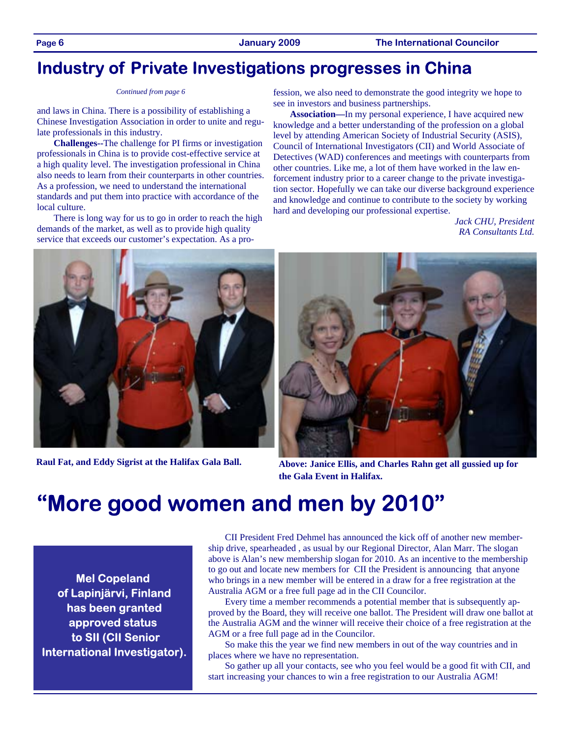## **Industry of Private Investigations progresses in China**

and laws in China. There is a possibility of establishing a Chinese Investigation Association in order to unite and regulate professionals in this industry.

**Challenges--**The challenge for PI firms or investigation professionals in China is to provide cost-effective service at a high quality level. The investigation professional in China also needs to learn from their counterparts in other countries. As a profession, we need to understand the international standards and put them into practice with accordance of the local culture.

There is long way for us to go in order to reach the high demands of the market, as well as to provide high quality service that exceeds our customer's expectation. As a pro-

*Continued from page 6* fession, we also need to demonstrate the good integrity we hope to see in investors and business partnerships.

> **Association—**In my personal experience, I have acquired new knowledge and a better understanding of the profession on a global level by attending American Society of Industrial Security (ASIS), Council of International Investigators (CII) and World Associate of Detectives (WAD) conferences and meetings with counterparts from other countries. Like me, a lot of them have worked in the law enforcement industry prior to a career change to the private investigation sector. Hopefully we can take our diverse background experience and knowledge and continue to contribute to the society by working hard and developing our professional expertise.

> > *Jack CHU, President RA Consultants Ltd.*



**Raul Fat, and Eddy Sigrist at the Halifax Gala Ball.** 



**Above: Janice Ellis, and Charles Rahn get all gussied up for the Gala Event in Halifax.** 

# **"More good women and men by 2010"**

**Mel Copeland of Lapinjärvi, Finland has been granted approved status to SII (CII Senior International Investigator).** 

CII President Fred Dehmel has announced the kick off of another new membership drive, spearheaded , as usual by our Regional Director, Alan Marr. The slogan above is Alan's new membership slogan for 2010. As an incentive to the membership to go out and locate new members for CII the President is announcing that anyone who brings in a new member will be entered in a draw for a free registration at the Australia AGM or a free full page ad in the CII Councilor.

Every time a member recommends a potential member that is subsequently approved by the Board, they will receive one ballot. The President will draw one ballot at the Australia AGM and the winner will receive their choice of a free registration at the AGM or a free full page ad in the Councilor.

So make this the year we find new members in out of the way countries and in places where we have no representation.

So gather up all your contacts, see who you feel would be a good fit with CII, and start increasing your chances to win a free registration to our Australia AGM!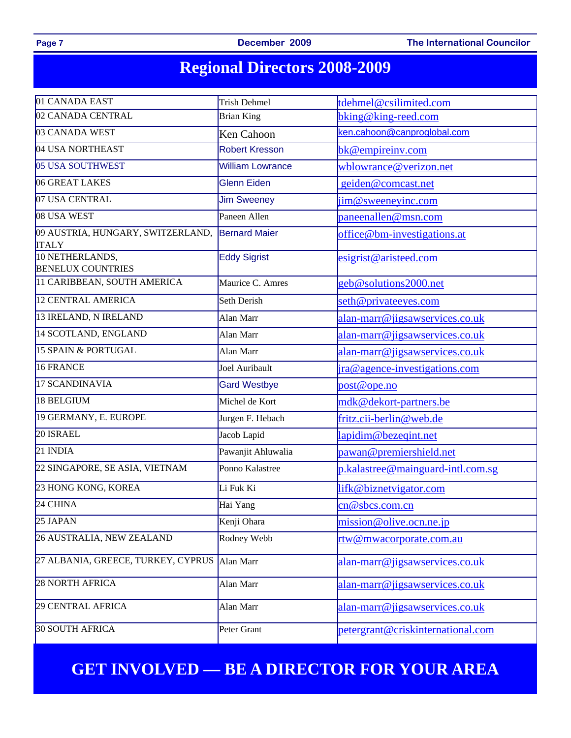Page 7 **December 2009** The International Councilor

# **Regional Directors 2008-2009**

| 01 CANADA EAST                                    | <b>Trish Dehmel</b>                         | tdehmel@csilimited.com               |  |  |
|---------------------------------------------------|---------------------------------------------|--------------------------------------|--|--|
| 02 CANADA CENTRAL                                 | <b>Brian King</b>                           | bking@king-reed.com                  |  |  |
| 03 CANADA WEST                                    | Ken Cahoon                                  | ken.cahoon@canproglobal.com          |  |  |
| 04 USA NORTHEAST                                  | <b>Robert Kresson</b>                       | bk@empireinv.com                     |  |  |
| 05 USA SOUTHWEST                                  | <b>William Lowrance</b>                     | wblowrance@verizon.net               |  |  |
| 06 GREAT LAKES                                    | <b>Glenn Eiden</b>                          | geiden@comcast.net                   |  |  |
| 07 USA CENTRAL                                    | <b>Jim Sweeney</b>                          | jim@sweeneyinc.com                   |  |  |
| 08 USA WEST                                       | Paneen Allen                                | paneenallen@msn.com                  |  |  |
| 09 AUSTRIA, HUNGARY, SWITZERLAND,<br><b>ITALY</b> | <b>Bernard Maier</b>                        | office@bm-investigations.at          |  |  |
| 10 NETHERLANDS,<br><b>BENELUX COUNTRIES</b>       | <b>Eddy Sigrist</b>                         | esigrist@aristeed.com                |  |  |
| 11 CARIBBEAN, SOUTH AMERICA                       | Maurice C. Amres                            | geb@solutions2000.net                |  |  |
| 12 CENTRAL AMERICA                                | Seth Derish                                 | seth@privateeyes.com                 |  |  |
| 13 IRELAND, N IRELAND                             | Alan Marr                                   | alan-marr@jigsawservices.co.uk       |  |  |
| 14 SCOTLAND, ENGLAND                              | Alan Marr                                   | alan-marr@jigsawservices.co.uk       |  |  |
| 15 SPAIN & PORTUGAL                               | Alan Marr                                   | alan-marr@jigsawservices.co.uk       |  |  |
| 16 FRANCE                                         | Joel Auribault                              | <u>ira@agence-investigations.com</u> |  |  |
| 17 SCANDINAVIA                                    | <b>Gard Westbye</b>                         | post@ope.no                          |  |  |
| 18 BELGIUM                                        | Michel de Kort                              | mdk@dekort-partners.be               |  |  |
| 19 GERMANY, E. EUROPE                             | Jurgen F. Hebach                            | fritz.cii-berlin@web.de              |  |  |
| 20 ISRAEL                                         | Jacob Lapid                                 | lapidim@bezeqint.net                 |  |  |
| 21 INDIA                                          | Pawanjit Ahluwalia                          | pawan@premiershield.net              |  |  |
| 22 SINGAPORE, SE ASIA, VIETNAM                    | Ponno Kalastree                             | p.kalastree@mainguard-intl.com.sg    |  |  |
| 23 HONG KONG, KOREA                               | Li Fuk Ki                                   | lifk@biznetvigator.com               |  |  |
| 24 CHINA                                          | Hai Yang                                    | cn@sbcs.com.cn                       |  |  |
| 25 JAPAN                                          | Kenji Ohara                                 | mission@olive.ocn.ne.jp              |  |  |
| 26 AUSTRALIA, NEW ZEALAND                         | Rodney Webb                                 | rtw@mwacorporate.com.au              |  |  |
| 27 ALBANIA, GREECE, TURKEY, CYPRUS                | Alan Marr                                   | alan-marr@jigsawservices.co.uk       |  |  |
| 28 NORTH AFRICA                                   | Alan Marr<br>alan-marr@jigsawservices.co.uk |                                      |  |  |
| 29 CENTRAL AFRICA                                 | Alan Marr                                   | alan-marr@jigsawservices.co.uk       |  |  |
| 30 SOUTH AFRICA                                   | Peter Grant                                 | petergrant@criskinternational.com    |  |  |

## **GET INVOLVED — BE A DIRECTOR FOR YOUR AREA**